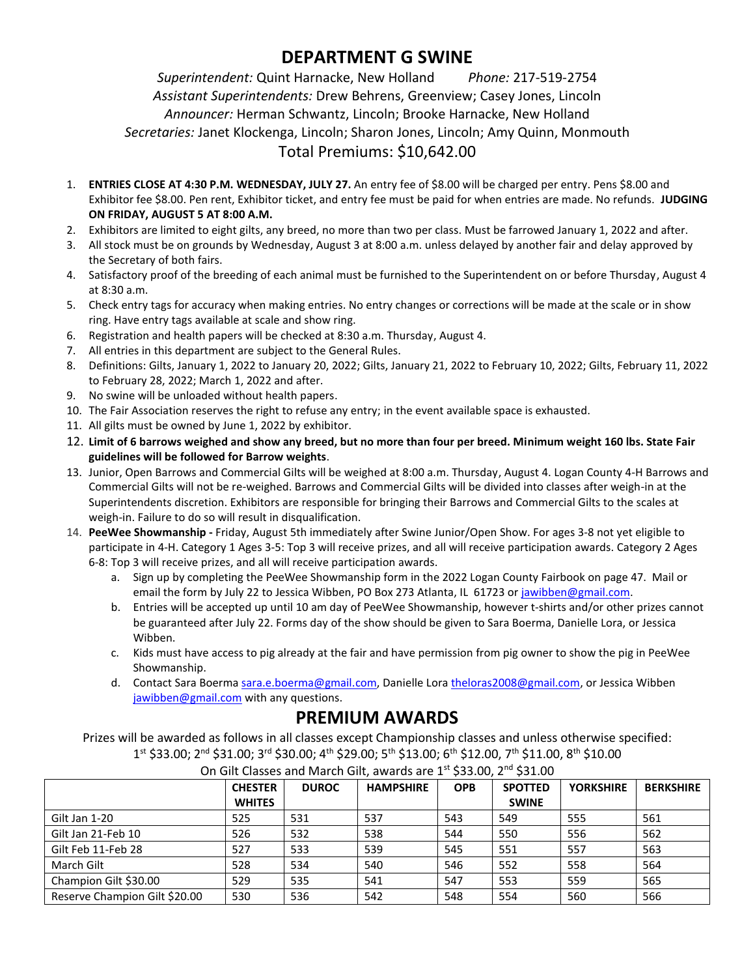# **DEPARTMENT G SWINE**

*Superintendent:* Quint Harnacke, New Holland *Phone:* 217-519-2754 *Assistant Superintendents:* Drew Behrens, Greenview; Casey Jones, Lincoln *Announcer:* Herman Schwantz, Lincoln; Brooke Harnacke, New Holland *Secretaries:* Janet Klockenga, Lincoln; Sharon Jones, Lincoln; Amy Quinn, Monmouth Total Premiums: \$10,642.00

- 1. **ENTRIES CLOSE AT 4:30 P.M. WEDNESDAY, JULY 27.** An entry fee of \$8.00 will be charged per entry. Pens \$8.00 and Exhibitor fee \$8.00. Pen rent, Exhibitor ticket, and entry fee must be paid for when entries are made. No refunds. **JUDGING ON FRIDAY, AUGUST 5 AT 8:00 A.M.**
- 2. Exhibitors are limited to eight gilts, any breed, no more than two per class. Must be farrowed January 1, 2022 and after.
- 3. All stock must be on grounds by Wednesday, August 3 at 8:00 a.m. unless delayed by another fair and delay approved by the Secretary of both fairs.
- 4. Satisfactory proof of the breeding of each animal must be furnished to the Superintendent on or before Thursday, August 4 at 8:30 a.m.
- 5. Check entry tags for accuracy when making entries. No entry changes or corrections will be made at the scale or in show ring. Have entry tags available at scale and show ring.
- 6. Registration and health papers will be checked at 8:30 a.m. Thursday, August 4.
- 7. All entries in this department are subject to the General Rules.
- 8. Definitions: Gilts, January 1, 2022 to January 20, 2022; Gilts, January 21, 2022 to February 10, 2022; Gilts, February 11, 2022 to February 28, 2022; March 1, 2022 and after.
- 9. No swine will be unloaded without health papers.
- 10. The Fair Association reserves the right to refuse any entry; in the event available space is exhausted.
- 11. All gilts must be owned by June 1, 2022 by exhibitor.
- 12. **Limit of 6 barrows weighed and show any breed, but no more than four per breed. Minimum weight 160 lbs. State Fair guidelines will be followed for Barrow weights**.
- 13. Junior, Open Barrows and Commercial Gilts will be weighed at 8:00 a.m. Thursday, August 4. Logan County 4-H Barrows and Commercial Gilts will not be re-weighed. Barrows and Commercial Gilts will be divided into classes after weigh-in at the Superintendents discretion. Exhibitors are responsible for bringing their Barrows and Commercial Gilts to the scales at weigh-in. Failure to do so will result in disqualification.
- 14. **PeeWee Showmanship -** Friday, August 5th immediately after Swine Junior/Open Show. For ages 3-8 not yet eligible to participate in 4-H. Category 1 Ages 3-5: Top 3 will receive prizes, and all will receive participation awards. Category 2 Ages 6-8: Top 3 will receive prizes, and all will receive participation awards.
	- a. Sign up by completing the PeeWee Showmanship form in the 2022 Logan County Fairbook on page 47. Mail or email the form by July 22 to Jessica Wibben, PO Box 273 Atlanta, IL 61723 or [jawibben@gmail.com.](mailto:jawibben@gmail.com)
	- b. Entries will be accepted up until 10 am day of PeeWee Showmanship, however t-shirts and/or other prizes cannot be guaranteed after July 22. Forms day of the show should be given to Sara Boerma, Danielle Lora, or Jessica Wibben.
	- c. Kids must have access to pig already at the fair and have permission from pig owner to show the pig in PeeWee Showmanship.
	- d. Contact Sara Boerma [sara.e.boerma@gmail.com,](mailto:sara.e.boerma@gmail.com) Danielle Lora [theloras2008@gmail.com,](mailto:theloras2008@gmail.com) or Jessica Wibben [jawibben@gmail.com](mailto:jawibben@gmail.com) with any questions.

## **PREMIUM AWARDS**

Prizes will be awarded as follows in all classes except Championship classes and unless otherwise specified: 1st \$33.00; 2<sup>nd</sup> \$31.00; 3<sup>rd</sup> \$30.00; 4<sup>th</sup> \$29.00; 5<sup>th</sup> \$13.00; 6<sup>th</sup> \$12.00, 7<sup>th</sup> \$11.00, 8<sup>th</sup> \$10.00

|                               | <b>CHESTER</b> | <b>DUROC</b> | <b>HAMPSHIRE</b> | <b>OPB</b> | <b>SPOTTED</b> | <b>YORKSHIRE</b> | <b>BERKSHIRE</b> |
|-------------------------------|----------------|--------------|------------------|------------|----------------|------------------|------------------|
|                               | <b>WHITES</b>  |              |                  |            | <b>SWINE</b>   |                  |                  |
| Gilt Jan 1-20                 | 525            | 531          | 537              | 543        | 549            | 555              | 561              |
| Gilt Jan 21-Feb 10            | 526            | 532          | 538              | 544        | 550            | 556              | 562              |
| Gilt Feb 11-Feb 28            | 527            | 533          | 539              | 545        | 551            | 557              | 563              |
| March Gilt                    | 528            | 534          | 540              | 546        | 552            | 558              | 564              |
| Champion Gilt \$30.00         | 529            | 535          | 541              | 547        | 553            | 559              | 565              |
| Reserve Champion Gilt \$20.00 | 530            | 536          | 542              | 548        | 554            | 560              | 566              |

#### On Gilt Classes and March Gilt, awards are 1st \$33.00, 2nd \$31.00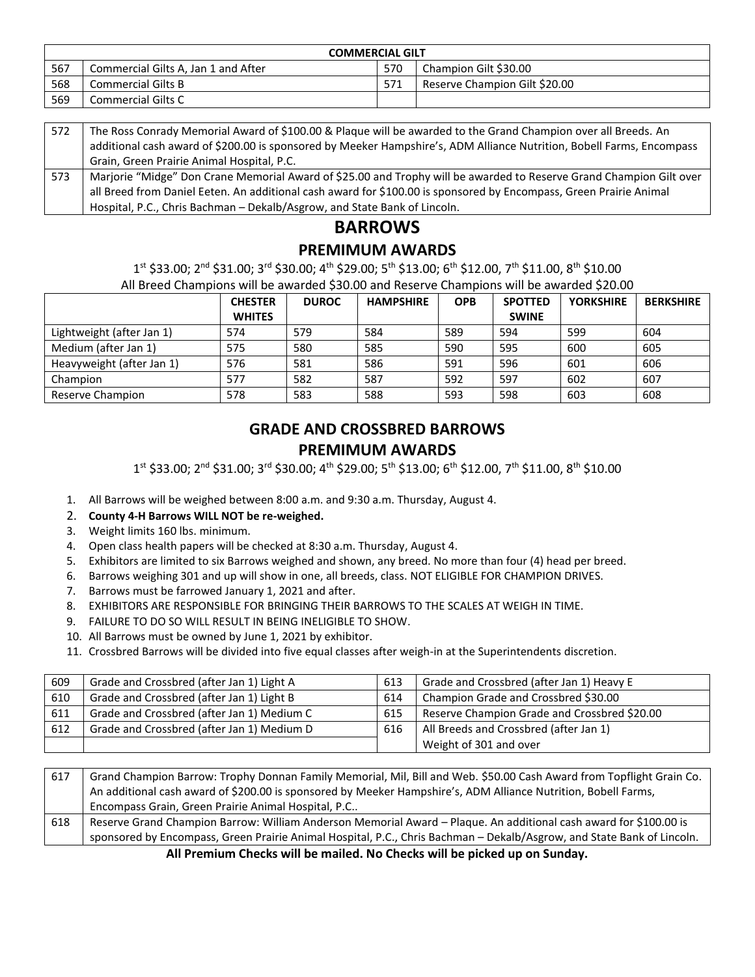| <b>COMMERCIAL GILT</b> |                                     |     |                               |  |
|------------------------|-------------------------------------|-----|-------------------------------|--|
| 567                    | Commercial Gilts A, Jan 1 and After | 570 | Champion Gilt \$30.00         |  |
| 568                    | Commercial Gilts B                  |     | Reserve Champion Gilt \$20.00 |  |
| 569                    | <b>Commercial Gilts C</b>           |     |                               |  |

| 572 | The Ross Conrady Memorial Award of \$100.00 & Plaque will be awarded to the Grand Champion over all Breeds. An        |
|-----|-----------------------------------------------------------------------------------------------------------------------|
|     | additional cash award of \$200.00 is sponsored by Meeker Hampshire's, ADM Alliance Nutrition, Bobell Farms, Encompass |
|     | Grain, Green Prairie Animal Hospital, P.C.                                                                            |
| 573 | Marjorie "Midge" Don Crane Memorial Award of \$25.00 and Trophy will be awarded to Reserve Grand Champion Gilt over   |
|     | all Breed from Daniel Eeten. An additional cash award for \$100.00 is sponsored by Encompass, Green Prairie Animal    |
|     | Hospital, P.C., Chris Bachman - Dekalb/Asgrow, and State Bank of Lincoln.                                             |

### **BARROWS PREMIMUM AWARDS**

1st \$33.00; 2<sup>nd</sup> \$31.00; 3<sup>rd</sup> \$30.00; 4<sup>th</sup> \$29.00; 5<sup>th</sup> \$13.00; 6<sup>th</sup> \$12.00, 7<sup>th</sup> \$11.00, 8<sup>th</sup> \$10.00

All Breed Champions will be awarded \$30.00 and Reserve Champions will be awarded \$20.00

|                           | <b>CHESTER</b> | <b>DUROC</b> | <b>HAMPSHIRE</b> | <b>OPB</b> | <b>SPOTTED</b> | <b>YORKSHIRE</b> | <b>BERKSHIRE</b> |
|---------------------------|----------------|--------------|------------------|------------|----------------|------------------|------------------|
|                           | <b>WHITES</b>  |              |                  |            | <b>SWINE</b>   |                  |                  |
| Lightweight (after Jan 1) | 574            | 579          | 584              | 589        | 594            | 599              | 604              |
| Medium (after Jan 1)      | 575            | 580          | 585              | 590        | 595            | 600              | 605              |
| Heavyweight (after Jan 1) | 576            | 581          | 586              | 591        | 596            | 601              | 606              |
| Champion                  | 577            | 582          | 587              | 592        | 597            | 602              | 607              |
| Reserve Champion          | 578            | 583          | 588              | 593        | 598            | 603              | 608              |

## **GRADE AND CROSSBRED BARROWS**

### **PREMIMUM AWARDS**

1st \$33.00; 2<sup>nd</sup> \$31.00; 3<sup>rd</sup> \$30.00; 4<sup>th</sup> \$29.00; 5<sup>th</sup> \$13.00; 6<sup>th</sup> \$12.00, 7<sup>th</sup> \$11.00, 8<sup>th</sup> \$10.00

- 1. All Barrows will be weighed between 8:00 a.m. and 9:30 a.m. Thursday, August 4.
- 2. **County 4-H Barrows WILL NOT be re-weighed.**
- 3. Weight limits 160 lbs. minimum.
- 4. Open class health papers will be checked at 8:30 a.m. Thursday, August 4.
- 5. Exhibitors are limited to six Barrows weighed and shown, any breed. No more than four (4) head per breed.
- 6. Barrows weighing 301 and up will show in one, all breeds, class. NOT ELIGIBLE FOR CHAMPION DRIVES.
- 7. Barrows must be farrowed January 1, 2021 and after.
- 8. EXHIBITORS ARE RESPONSIBLE FOR BRINGING THEIR BARROWS TO THE SCALES AT WEIGH IN TIME.
- 9. FAILURE TO DO SO WILL RESULT IN BEING INELIGIBLE TO SHOW.
- 10. All Barrows must be owned by June 1, 2021 by exhibitor.
- 11. Crossbred Barrows will be divided into five equal classes after weigh-in at the Superintendents discretion.

| 609 | Grade and Crossbred (after Jan 1) Light A  | 613 | Grade and Crossbred (after Jan 1) Heavy E    |
|-----|--------------------------------------------|-----|----------------------------------------------|
| 610 | Grade and Crossbred (after Jan 1) Light B  | 614 | Champion Grade and Crossbred \$30.00         |
| 611 | Grade and Crossbred (after Jan 1) Medium C | 615 | Reserve Champion Grade and Crossbred \$20.00 |
| 612 | Grade and Crossbred (after Jan 1) Medium D | 616 | All Breeds and Crossbred (after Jan 1)       |
|     |                                            |     | Weight of 301 and over                       |

| 617 | Grand Champion Barrow: Trophy Donnan Family Memorial, Mil, Bill and Web. \$50.00 Cash Award from Topflight Grain Co.   |
|-----|------------------------------------------------------------------------------------------------------------------------|
|     | An additional cash award of \$200.00 is sponsored by Meeker Hampshire's, ADM Alliance Nutrition, Bobell Farms,         |
|     | Encompass Grain, Green Prairie Animal Hospital, P.C                                                                    |
| 618 | Reserve Grand Champion Barrow: William Anderson Memorial Award - Plaque. An additional cash award for \$100.00 is      |
|     | sponsored by Encompass, Green Prairie Animal Hospital, P.C., Chris Bachman - Dekalb/Asgrow, and State Bank of Lincoln. |

**All Premium Checks will be mailed. No Checks will be picked up on Sunday.**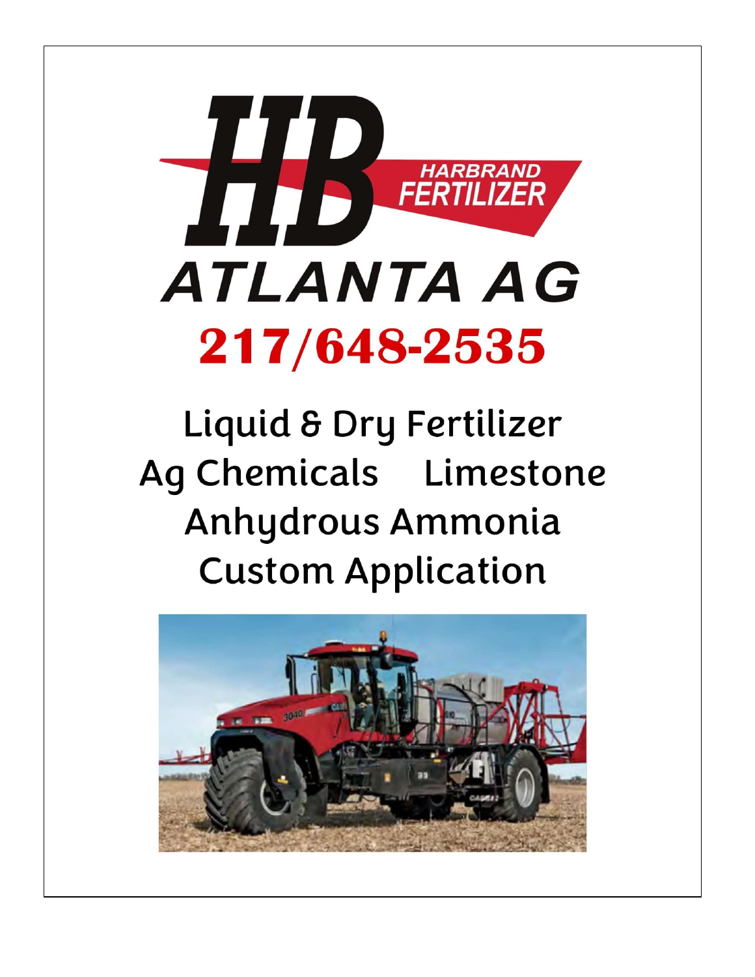

# Liquid & Dry Fertilizer Ag Chemicals Limestone Anhydrous Ammonia **Custom Application**